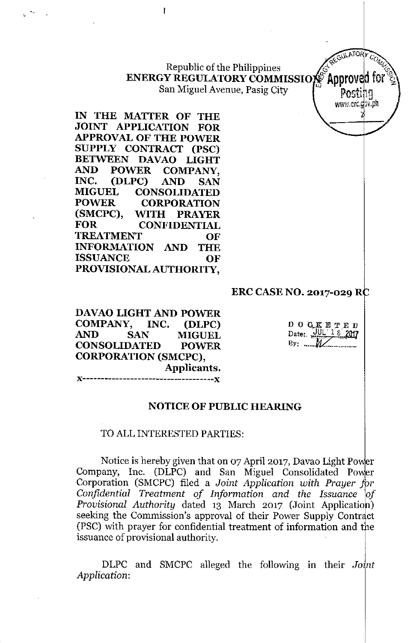Republic of the Philippines  $G_{\mathcal{U}}^{\mathcal{A}_{\mathcal{X}}^{\mathcal{A}_{\mathcal{Y}}}}$ **ENERGY REGULATORY COMMISSIOP Approved for**  $\mathcal{C}$ San Miguel Avenue, Pasig City  $\int_{-\infty}^{\infty}$  ' posting

**IN THE MATTER OF THE JOINT APPLICATION FOR APPROVAL OF THE POWER SUPPLY CONTRACT (PSC) BETWEEN DAVAO LIGHT AND POWER COMPANY, INC. (DLPC) AND SAN MIGUEL CONSOLIDATED POWER CORPORATION (SMCPC), WITH PRAYER FOR CONFIDENTIAL TREATMENT OF INFORMATION AND THE ISSUANCE OF PROVISIONAL AUTHORITY,**

 $\mathbf{f}$ 

#### **ERC CASE NO. 2017-029 R**

**DAVAO LIGHT AND POWER COMPANY, INC. (DLPC) AND SAN MIGUEL CONSOLIDATED POWER CORPORATION (SMCPC), Applicants. J<------------------------------------J<**

 $D$  O  $C$  K E T E D Date: UUL 18 2017  $By: \ldots M$ 

G\)\J'.TO *y* C '

**[www.erc./I...ph](http://www.erc./I...ph)**

# **NOTICE OF PUBLIC HEARING**

#### **TO** ALLINTERESTED PARTIES:

Notice is hereby given that on 07 April 2017, Davao Light Po Company, Inc. (DLPC) and San Miguel Consolidated Po Corporation (SMCPC) filed a *Joint Application with Prayer Confidential Treatment of Information and the Issuance of* Provisional Authority dated 13 March 2017 (Joint Application) seeking the Commission's approval of their Power Supply Contract (PSC) with prayer for confidential treatment of information and the issuance of provisional authority.

DLPC and SMCPC alleged the following in their *Joint Application:*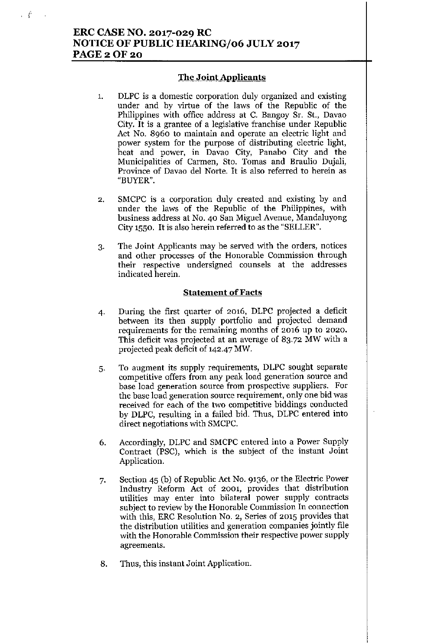# ERC CASE NO. 2017-029 RC NOTICE OF PUBLIC *HEARINGJ06* JULY 2017 **PAGE 2 OF 20**

 $\mathcal{L}$ 

#### The Joint Applicants

- 1. DLPC is a domestic corporation duly organized and existing under and by virtue of the laws of the Republic of the Philippines with office address at C. Bangoy Sr. St., Davao City. It is a grantee of a legislative franchise under Republic Act No. 8960 to maintain and operate an electric light and power system for the purpose of distributing electric light, heat and power, in Davao City, Panabo City and the Municipalities of Carmen, Sto. Tomas and Braulio Dujali, Province of Davao del Norte. It is also referred to herein as "BUYER".
- 2. SMCPC is a corporation duly created and existing by and under the laws of the Republic of the Philippines, with business address at No. 40 San Miguel Avenue, Mandaluyong City 1550. It is also herein referred to as the "SELLER".
- 3. The Joint Applicants may be served with the orders, notices and other processes of the Honorable Commission through their respective undersigned counsels at the addresses indicated herein.

#### **Statement** of Facts

- 4- During the first quarter of 2016, DLPC projected a deficit between its then supply portfolio and projected demand requirements for the remaining months of 2016 up to 2020. This deficit was projected at an average of 83.72 MW with a projected peak deficit of 142-47 MW.
- 5. To augment its supply requirements, DLPC sought separate competitive offers from any peak load generation source and base load generation source from prospective suppliers. For the base load generation source requirement, only one bid was received for each of the two competitive biddings conducted by DLPC, resulting in a failed bid. Thus, DLPC entered into direct negotiations with SMCPC.
- 6. Accordingly, DLPC and SMCPC entered into a Power Supply Contract (PSC), which is the subject of the instant Joint Application.
- 7. Section 45 (b) of Republic Act No. 9136, or the Electric Power Industry Reform Act of 2001, provides that distribution utilities may enter into bilateral power supply contracts subject to review by the Honorable Commission In connection with this, ERC Resolution No. 2, Series of 2015 provides that the distribution utilities and generation companies jointly file with the Honorable Commission their respective power supply agreements.
- 8. Thus, this instant Joint Application.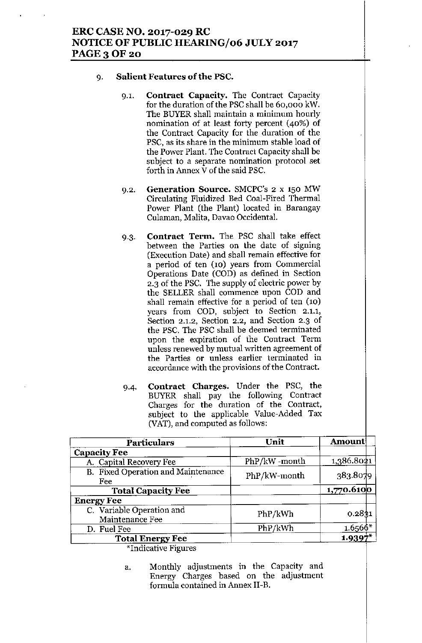# ERC CASE NO. 2017-029 RC NOTICE OF PUBLIC HEARING/06 JULY 2017 PAGE 3 OF 20

#### 9. Salient Features of the PSC.

- 9.1. Contract Capacity. The Contract Capacity for the duration of the PSC shall be 60,000 kW. The BUYER shall maintain a minimum hourly nomination of at least forty percent (40%) of the Contract Capacity for the duration of the PSC, as its share in the minimum stable load of the Power Plant. The Contract Capacity shall be subject to a separate nomination protocol set forth in Annex V of the said PSC.
- 9.2. Generation Source. SMCPC's 2 x 150 MW Circulating Fluidized Bed Coal-Fired Thermal Power Plant (the Plant) located in Barangay Culaman, Malita, Davao Occidental.
- 9.3. Contract Term. The PSC shall take effect between the Parties on the date of signing (Execution Date) and shall remain effective for a period of ten (10) years from Commercial Operations Date (COD) as defined in Section 2.3 of the PSC. The supply of electric power by the SELLER shall commence upon COD and shall remain effective for a period of ten (10) years from COD, subject to Section 2.1.1, Section 2.1.2, Section 2.2, and Section 2.3 of the PSC. The PSC shall be deemed terminated upon the expiration of the Contract Term unless renewed by mutual written agreement of the Parties or unless earlier terminated in accordance with the provisions of the Contract.
- 94. Contract Charges. Under the PSC, the BUYER shall pay the following Contract Charges for the duration of the Contract, subject to the applicable Value-Added Tax (VAT), and computed as follows:

| <b>Particulars</b>                           | Unit         | Amount                   |  |
|----------------------------------------------|--------------|--------------------------|--|
| <b>Capacity Fee</b>                          |              |                          |  |
| A. Capital Recovery Fee                      | PhP/kW-month | 1,386.8021               |  |
| B. Fixed Operation and Maintenance<br>Fee    | PhP/kW-month | 383.8079                 |  |
| <b>Total Capacity Fee</b>                    |              | $1,770.610$ <sup>o</sup> |  |
| <b>Energy Fee</b>                            |              |                          |  |
| C. Variable Operation and<br>Maintenance Fee | PhP/kWh      | 0.2831                   |  |
| D. Fuel Fee                                  | PhP/kWh      | $1.6566*$                |  |
| <b>Total Energy Fee</b>                      |              | 1.939                    |  |

\*Indicative Figures

a. Monthly adjustments in the Capacity and Energy Charges based on the adjustment formula contained in Annex II-B.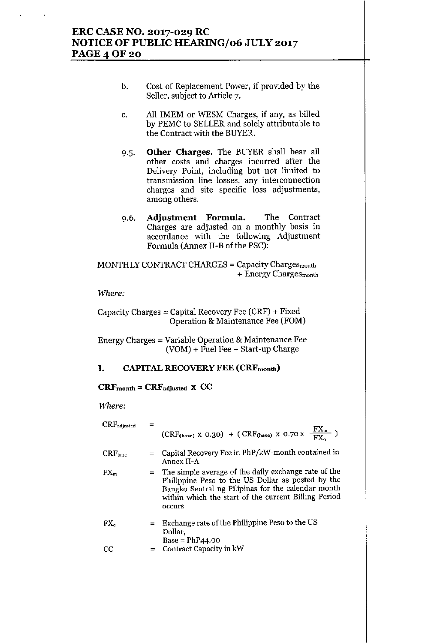# ERC CASE NO. 2017-029 RC **NOTICE OF PUBLIC HEARING/06 JULY 2017 PAGE 4 OF 20**

- b. Cost of Replacement Power, if provided by the Seller, subject to Article 7.
- c. All IMEM or WESM Charges, if any, as billed by PEMC to SELLER and solely attributable to the Contract with the BUYER.
- 9.5. Other Charges. The BUYER shall bear all other costs and charges incurred after the Delivery Point, including but not limited to transmission line losses, any interconnection charges and site specific loss adjustments, among others.
- 9.6. Adjustment Formula. The Contract Charges are adjusted on a monthly basis in accordance with the following Adjustment Formula (Annex II-B of the PSC):

MONTHLY CONTRACT CHARGES = Capacity Chargesmonth + Energy ChargeSmonth

#### *ltVhere:*

Capacity Charges = Capital Recovery Fee (CRF) + Fixed Operation & Maintenance Fee (FOM)

Energy Charges = Variable Operation & Maintenance Fee (VOM) + Fuel Fee + Start-up Charge

#### I. CAPITAL RECOVERY FEE (CRFmonth)

#### $CRF<sub>month</sub> = CRF<sub>adjusted</sub> x CC$

*Where:*

| CRFadjusted  | $(CRF_{(base)} \times 0.30)$ + $(CRF_{(base)} \times 0.70 \times \frac{FX_m}{FX_a})$                                                                                                                                                |
|--------------|-------------------------------------------------------------------------------------------------------------------------------------------------------------------------------------------------------------------------------------|
| $CRF_{base}$ | $=$ Capital Recovery Fee in PhP/kW-month contained in<br>Annex II-A                                                                                                                                                                 |
| $FX_m$       | = The simple average of the daily exchange rate of the<br>Philippine Peso to the US Dollar as posted by the<br>Bangko Sentral ng Pilipinas for the calendar month<br>within which the start of the current Billing Period<br>occurs |
| $FX_0$       | $=$ Exchange rate of the Philippine Peso to the US<br>Dollar,                                                                                                                                                                       |
| CC           | $Base = PhP44.00$<br>$=$ Contract Capacity in kW                                                                                                                                                                                    |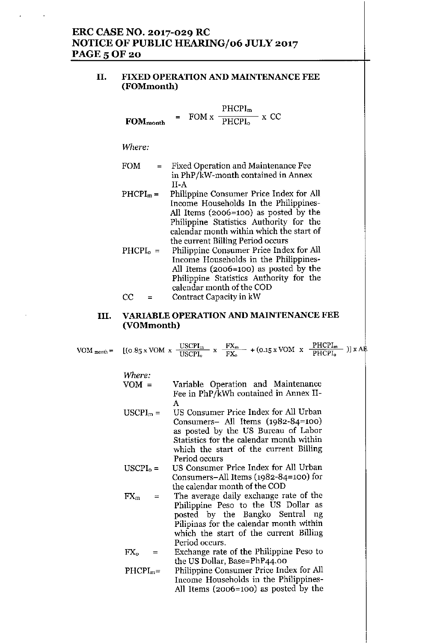# ERC CASE NO. 2017-029 RC NOTICE OF PUBLIC *HEARINGJ06* JULY 2017 **PAGE 5 OF 20**

#### II. FIXED OPERATION AND MAINTENANCE FEE (FOMmonth)

**FORM**<sub>month</sub> = 
$$
FORM \times \frac{PHCPI_{m}}{PHCPI_{o}} \times CC
$$

*Where:*

- FOM = Fixed Operation and Maintenance Fee in PhP/kW-month contained in Annex II-A
- $PHCPI<sub>m</sub> =$ Philippine Consumer Price Index for All Income Households In the Philippines-All Items (2006=100) as posted by the Philippine Statistics Anthority for the calendar month within which the start of the current Billing Period occurs
- $PHCPI_0 =$  $CC =$ Philippine Consumer Price Index for All Income Households in the Philippines-All Items (2006=100) as posted by the Philippine Statistics Anthority for the calendar month of the COD

# Contract Capacity in kW

#### III. VARIABLE OPERATION AND MAINTENANCE FEE (VOMmonth)

|  | VOM month = $[(0.85 \times \text{VOM} \times \frac{\text{USCPI}_{m}}{\text{USCPI}_{o}} \times \frac{\text{FX}_{m}}{\text{FX}_{o}} + (0.15 \times \text{VOM} \times \frac{\text{PHCPI}_{m}}{\text{PHCPI}_{o}})] \times \text{AF}$ |  |  |  |  |  |  |  |
|--|----------------------------------------------------------------------------------------------------------------------------------------------------------------------------------------------------------------------------------|--|--|--|--|--|--|--|
|--|----------------------------------------------------------------------------------------------------------------------------------------------------------------------------------------------------------------------------------|--|--|--|--|--|--|--|

*"Where:*

YOM = Variable Operation and Maintenance Fee in PhP/kWh contained in Annex II-A

- $USCPI<sub>m</sub> =$ US Consumer Price Index for All Urban Consumers- All Items (1982-84=100) as posted by the US Bureau of Labor Statistics for the calendar month within which the start of the current Billing Period occurs
- $USCPI_0 =$ US Consumer Price Index for All Urban Consumers-All Items (1982-84=100) for the calendar month of the COD
- $FX_m =$ The average daily exchange rate of the Philippine Peso to the US Dollar as posted by the Bangko Sentral ng Pilipinas for the calendar month within which the start of the current Billing Period occurs.

 $FX_0$ Exchange rate of the Philippine Peso to the US Dollar, Base=PhP44.00

 $PHCPI<sub>m</sub>=$ Philippine Consumer Price Index for All Income Households in the Philippines-All Items (2006=100) as posted by the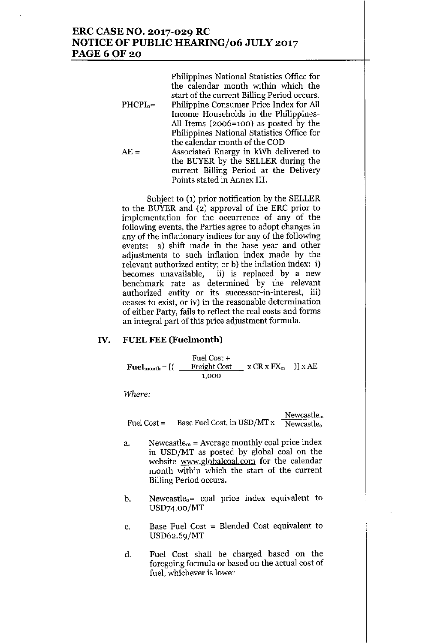## ERC CASE NO. 2017-029 RC NOTICE OF PUBLIC *HEARINGJ06* JULY 2017 **PAGE 6 OF 20**

|             | Philippines National Statistics Office for  |
|-------------|---------------------------------------------|
|             | the calendar month within which the         |
|             | start of the current Billing Period occurs. |
| $PHCPI_0 =$ | Philippine Consumer Price Index for All     |
|             | Income Households in the Philippines-       |
|             | All Items (2006=100) as posted by the       |
|             | Philippines National Statistics Office for  |
|             | the calendar month of the COD               |
| $AE =$      | Associated Energy in kWh delivered to       |
|             | the BUYER by the SELLER during the          |
|             | current Billing Period at the Delivery      |
|             | Points stated in Annex III.                 |

Subject to (1) prior notification by the SELLER to the BUYER and (2) approval of the ERC prior to implementation for the occurrence of any of the following events, the Parties agree to adopt changes in any of the inflationary indices for any of the following events: a) shift made in the base year and other adjustments to such inflation index made by the relevant authorized entity; or b) the inflation index: i) becomes unavailable, ii) is replaced by a new benchmark rate as determined by the relevant authorized entity or its successor-in-interest, iii) ceases to exist, or iv) in the reasonable determination of either Party, fails to reflect the real costs and forms an integral part of this price adjustment formula.

#### IV. FUEL FEE (Fuelmonth)

 $\textbf{Full}_{\text{month}} = [$  [ [  $\text{=}$  Freight Cost  $\text{=}$  x CR x FX<sub>m</sub>  $\text{=}$  ]] x A Fuel Cost + 1,000

*Where:*

|             |                             | Newcastle <sub>m</sub> |
|-------------|-----------------------------|------------------------|
| Fuel Cost = | Base Fuel Cost, in USD/MT x | Newcastle <sub>o</sub> |

- a. Newcastle<sub>m</sub> = Average monthly coal price index in USD/MT as posted by global coal on the website [www.globalcoal.com](http://www.globalcoal.com) for the calendar month within which the start of the current Billing Period occurs.
- b. Newcastle<sub>o</sub>= coal price index equivalent to USD74.00/MT
- c. Base Fuel Cost = Blended Cost equivalent to USD62.69/MT
- d. Fuel Cost shall be charged based on the foregoing formula or based on the actual cost of fuel, whichever is lower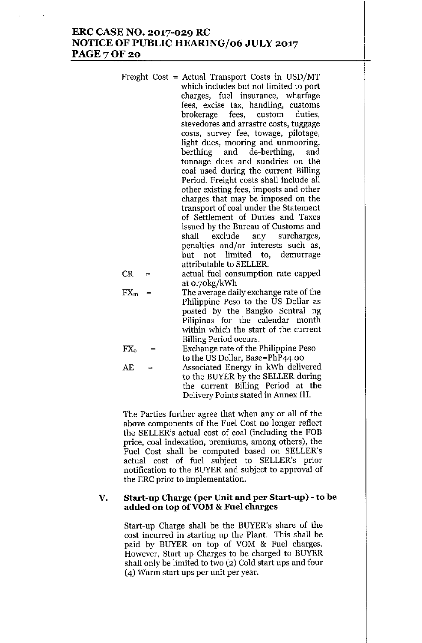#### ERC CASE NO. 2017-029 RC NOTICE OF PUBLIC HEARING/06 JULY 2017 **PAGE 7 OF 20**

|  | Freight Cost = Actual Transport Costs in USD/MT<br>which includes but not limited to port |
|--|-------------------------------------------------------------------------------------------|
|  | charges, fuel insurance, wharfage                                                         |
|  |                                                                                           |
|  | fees, excise tax, handling, customs                                                       |
|  | brokerage fees, custom duties,                                                            |
|  | stevedores and arrastre costs, tuggage                                                    |
|  | costs, survey fee, towage, pilotage,                                                      |
|  | light dues, mooring and unmooring,                                                        |
|  | berthing and de-berthing, and                                                             |
|  | tonnage dues and sundries on the                                                          |
|  | coal used during the current Billing                                                      |
|  | Period. Freight costs shall include all                                                   |
|  | other existing fees, imposts and other                                                    |
|  | charges that may be imposed on the                                                        |
|  | transport of coal under the Statement                                                     |
|  | of Settlement of Duties and Taxes                                                         |
|  |                                                                                           |
|  | issued by the Bureau of Customs and                                                       |
|  | shall exclude any surcharges,                                                             |
|  | penalties and/or interests such as,                                                       |
|  | not limited to, demurrage<br>but                                                          |
|  | attributable to SELLER.                                                                   |
|  |                                                                                           |

 $CR =$  actual fuel consumption rate capped at 0.70kg(kWh

 $FX_m =$  The average daily exchange rate of the Philippine Peso to the US Dollar as posted by the Bangko Sentral ng Pilipinas for the calendar month within which the start of the current Billing Period occurs.

$$
FXo = Exchange rate of the Philippe Pesoto the US Dollar, Base=PhP44.00
$$

AE = Associated Energy in kWh delivered to the BUYER by the SELLER during the current Billing Period at the Delivery Points stated in Annex III.

The Parties further agree that when any or all of the above components of the Fuel Cost no longer reflect the SELLER's actual cost of coal (including the FOB price, coal indexation, premiums, among others), the Fuel Cost shall be computed based on SELLER's actual cost of fuel subject to SELLER's prior notification to the BUYER and subject to approval of the ERC prior to implementation.

#### V. Start-up Charge (per Unit and per Start-up) -to be added on top of VOM & Fuel charges

Start-up Charge shall be the BUYER's share of the cost incurred in starting up the Plant. This shall be paid by BUYER on top of YOM & Fuel charges. However, Start up Charges to be charged to BUYER shall only be limited to two (2) Cold start ups and four (4) Warm start ups per unit per year.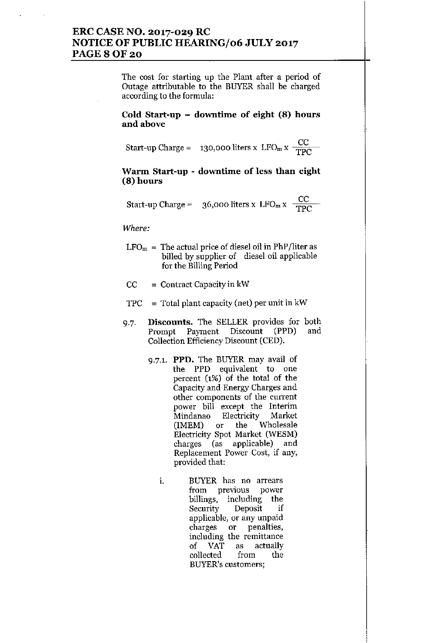# **ERC CASE NO. 2017-029 RC NOTICE OF PUBLIC HEARING/06 JULY 2017 PAGE80F20**

The cost for starting up the Plant after a period of Outage attributable to the BUYER shall be charged **according to the formula:**

**Cold Start-up - dowutime of eight (8) hours** and above

Start-up Charge = **130,000 liters x LFOmx** CC TPC

#### **Warm Start-up - dowutime of** less **thau eight (8) hours**

Start-up Charge =  $36,000$  liters x LFO<sub>m</sub> x  $\frac{CC}{TQ}$ TPC

*Where:*

- $LFO<sub>m</sub>$  = The actual price of diesel oil in PhP/liter as billed by supplier of diesel oil applicable for the Billing Period
- $CC =$  Contract Capacity in kW
- $TPC = Total plant capacity (net) per unit in kW$
- 9.7. **Discounts.** The SELLER provides for both Prompt Payment Discount (PPD) and Collection Efficiency Discount (CED).
	- 9.7.1. **PPD.** The BUYER may avail of **the PPD equivalent to one** percent (1%) of the total of the Capacity and Energy Charges and **other components of the current** power bill except the Interim Mindanao Electricity Market (1MEM) or the Wholesale Electricity Spot Market (WESM) charges (as applicable) and **Replacement Power Cost, if any,** provided that:
		- **1. BUYER has no arrears from previous power** billings, including the Security Deposit if **applicable, or any unpaid charges or penalties, including the remittance** of VAT as actually collected from the **BUYER's customers;**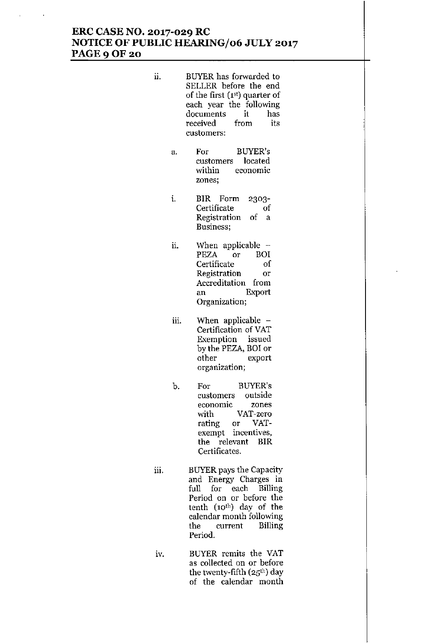# **ERC CASE NO. 2017-029 RC NOTICE OF PUBLIC HEARINGJ06 JULY 2017 PAGE90F20**

- ii. BUYER has forwarded to SELLER before the end of the first (1st) quarter of each year the following **documents it has received from its customers:**
	- a. For BUYER's **customers located** within **economic zones;**
	- 1. BIR Form 2303- **Certificate Registration** of a **Business;** of
	- ii. When applicable -PEZA or BOI Certificate of **Registration or Accreditation from** an Export **Organization;**
	- iii. When applicable Certification of VAT **Exemption issued** by the PEZA, BO! or **other export organization;**
	- b. For BUYER's **customers outside economic zones** with VAT-zero rating or VAT**exempt incentives,** the relevant BIR **Certificates.**
- iii. BUYER pays the Capacity **and Energy Charges in** full for each Billing **Period on or before the** tenth (10th) day of the **calendar month following the current Billing Period.**
- iv. BUYER remits the VAT **as collected on or before** the twenty-fifth (25<sup>th</sup>) day **of the calendar month**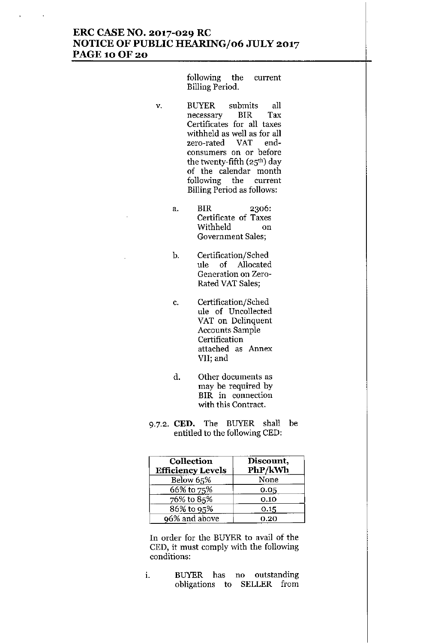## **ERC CASE NO. 2017-029 RC NOTICE OF PUBLIC HEARING/06 JULY 2017 PAGE 10 OF 20**

following the current Billing Period.

- v. BUYER submits all **necessary BIR Tax Certificates for all taxes** withheld as well as for all zero-rated VAT end**consumers on or before** the twenty-fifth  $(25<sup>th</sup>)$  day of the calendar month **following the current** Billing Period as follows:
	- a. BIR 2306: **Certificate of Taxes** Withheld on **Government Sales;**
	- b. Certification/Sched ule of Allocated **Generation on Zero-**Rated VAT Sales;
		- c. Certification/Sched ule of Uncollected VAT on Delinquent **Accounts Sample Certification attached as Annex VII; and**
		- **d. Other documents as may be required by BIR in connection** with this Contract.
- 9.7.2. **CED.** The BUYER shall be entitled to the following CED:

| Collection<br><b>Efficiency Levels</b> | Discount,<br>PhP/kWh |
|----------------------------------------|----------------------|
| Below 65%                              | None                 |
| 66% to 75%                             | 0.05                 |
| 76% to 85%                             | 0.10                 |
| 86% to 95%                             | 0.15                 |
| 96% and above                          | 0.20                 |

In order for the BUYER to avail of the CED, it must comply with the following **conditions:**

**1. BUYER has no outstanding** obligations to SELLER from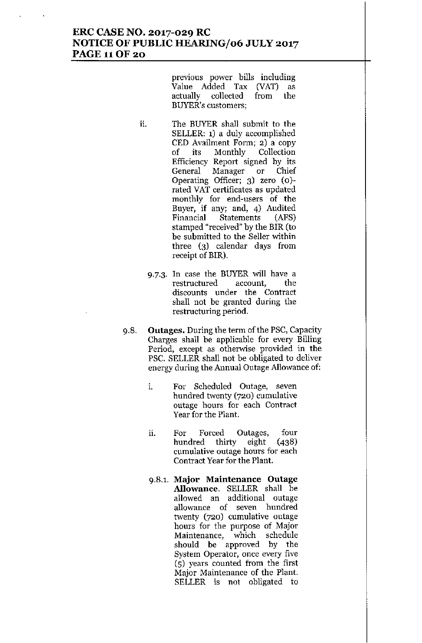### **ERC CASE NO. 2017-029 RC NOTICE OF PUBLIC HEARINGJ06 JULY 2017** PAGE 11OF 20

**previous power bills including** Value Added Tax (VAT) as actually collected from the **BUYER's customers;**

- ii. The BUYER shall submit to the SELLER: 1) a duly accomplished CED Availment Form; 2) a copy of its Monthly Collection Efficiency Report signed by its **General Manager or Chief** Operating Officer; 3) zero (0) **rated VAT certificates as updated monthly for end-users of the Buyer, if any; and, 4) Audited** Financial Statements (AFS) stamped "received" by the BIR (to be submitted to the Seller within three (3) calendar days from receipt of BIR).
	- 9.7.3. In case the BUYER will have a **restructured account, the discounts under the Contract** shall not be granted during the **restructuring period.**
- 9.8. **Outages.** During the term of the PSC, Capacity Charges shall be applicable for every Billing **Period, except as otherwise provided in the** PSC. SELLER shall not be obligated to deliver **energy during the Annual Outage Allowance of:**
	- **1. For Scheduled Outage, seven** hundred twenty (720) cumulative **outage hours for each Contract** Year for the Plant.
	- **ll. For Forced Outages, four** hundred thirty eight (438) **cumulative outage hours for each Contract Year for the Plant.**
	- **9.8.1. Major Maintenance Outage** Allowance. SELLER shall be **allowed an additional outage allowance of seven hundred** twenty (720) cumulative outage hours for the purpose of Major **Maintenance, which schedule** should be approved by the **System Operator, once every five** (5) years counted from the first **Major Maintenance of the Plant.** SELLER is not obligated to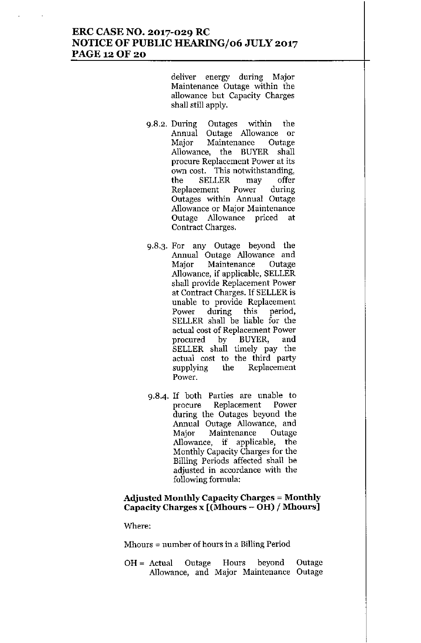## **ERC CASE NO. 2017-029 RC NOTICE OF PUBLIC HEARINGJ06 JULY 2017** PAGE 12 OF 20

**deliver energy during Major Maintenance Outage within the allowance but Capacity Charges** shall still apply.

- 9.8.2. During Outages within the **Annual Outage Allowance or Major Maintenance Outage** Allowance, the BUYER shall **procure Replacement Power at its own cost. This notwithstanding,** the SELLER may offer<br>Replacement Power during **Replacement Power during Outages within Annual Outage Allowance or Major Maintenance Outage Allowance priced at Contract Charges.**
- 9.8.3. For any Outage beyond the **Annual Outage Allowance and Major Maintenance Outage** Allowance, if applicable, SELLER shall provide Replacement Power at Contract Charges. If SELLER is **unable to provide Replacement Power during this period,** SELLER shall be liable for the **actual cost of Replacement Power** procured by BUYER, and SELLER shall timely pay the actual cost to the third party supplying the Replacement **Power.**
- 9.8.4. If both Parties are unable to **procure Replacement Power** during the Outages beyond the **Annual Outage Allowance, and Major Maintenance Outage** Allowance, if applicable, the Monthly Capacity Charges for tbe Billing Periods affected shall be **adjusted in accordance with the** following formula:

#### **Adjusted Mouthly** Capacity Charges = **Mouthly** Capacity Charges x **[(Mhours - OH) / Mhours]**

**Where:**

**Mhours = number of hours in a Billing Period**

 $OH = Actual$  Outage Hours beyond **Allowance, and Major Maintenance** OutageOutage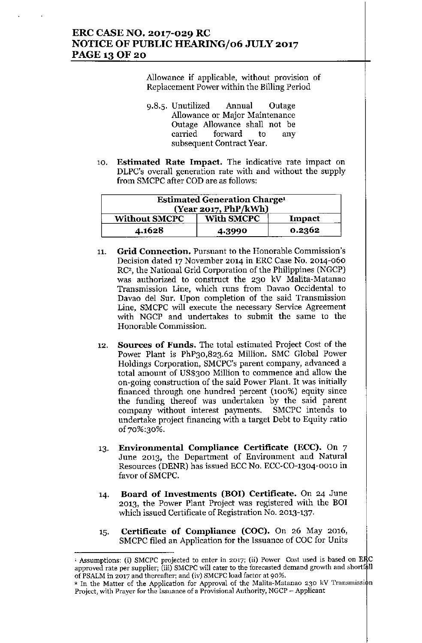# ERC CASE NO. 2017-029 RC NOTICE OF PUBLIC HEARING/06 JULY 2017 PAGE 13 OF 20

Allowance if applicable, without provision of Replacement Power within the Billing Period

- 9.8.5. Unutilized Annual Outage Allowance or Major Maintenance Outage Allowance shall not be carried forward to any subsequent Contract Year.
- 10. **Estimated Rate Impact.** The indicative rate impact on DLPC's overall generation rate with and without the supply from SMCPC after COD are as follows:

| <b>Estimated Generation Charge<sup>1</sup></b><br>(Year 2017, PhP/kWh) |                   |        |  |
|------------------------------------------------------------------------|-------------------|--------|--|
| <b>Without SMCPC</b>                                                   | <b>With SMCPC</b> | Impact |  |
| 4.1628                                                                 | 4.3990            | 0.2362 |  |

- 11. **Grid Connection.** Pursuant to the Honorable Commission's Decision dated 17 November 2014 in ERC Case No. 2014-060 RC', the National Grid Corporation of the Philippines (NGCP) was authorized to construct the 230 kV Malita-Matanao Transmission Line, which runs from Davao Occidental to Davao del Sur. Upon completion of the said Transmission Line, SMCPC will execute the necessary Service Agreement with NGCP and undertakes to submit the same to the Honorable Commission.
- 12. **Sources of Funds.** The total estimated Project Cost of the Power Plant is PhP30,823.62 Million. SMC Global Power Holdings Corporation, SMCPC's parent company, advanced a total amount of US\$300 Million to commence and allow the on-going construction of the said Power Plant. It was initially financed through one hundred percent (100%) equity since the funding thereof was undertaken by the said parent company without interest payments. SMCPC intends to undertake project financing with a target Debt to Equity ratio of70%:30%.
- 13. Environmental Compliance Certificate (ECC). On 7 June 2013, the Department of Environment and Natural Resources (DENR) has issued ECC No. ECC-CO-1304-0010 in favor of SMCPC.
- 14. Board of Investments (BOI) Certificate. On 24 June 2013, the Power Plant Project was registered with the BOI which issued Certificate of Registration No. 2013-137.
- 15. Certificate of Compliance (COC). On 26 May 2016, SMCPC filed an Application for the Issuance of COC for Units

<sup>&</sup>lt;sup>1</sup> Assumptions: (i) SMCPC projected to enter in 2017; (ii) Power Cost used is based on ERC approved rate per supplier; (iii) SMCPC will cater to the forecasted demand growth and shortfall of PSALM in 2017 and thereafter; and (iv) SMCPC load factor at 90%.

<sup>&</sup>lt;sup>2</sup> In the Matter of the Application for Approval of the Malita-Matanao 230 kV Transmission Project, with Prayer for the Issuance of a Provisional Authority, NGCP - Applicant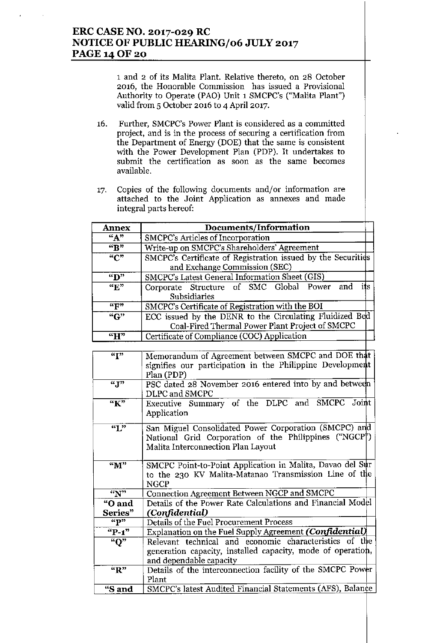# **ERC CASE NO. 2017-029 RC NOTICE OF PUBLIC HEARING/06 JULY 2017** PAGE 14 OF 20

1 and 2 of its Malita Plant. Relative thereto, on 28 October **2016, the Honorable Commission has issued a Provisional** Anthority to Operate (PAO) Unit 1 SMCPC's ("Malita Plant") valid from 5 October 2016 to 4 April 2017.

- 16. **Further, SMCPC's Power Plant is considered as a committed project, and is in the process of securing a certification from** the Department of Energy (DOE) that the same is consistent with the Power Development Plan (PDP). It undertakes to **submit** the **certification** as **soon** as the **same becomes** available.
- "7. **Copies of the following documents and/or information are** attached to the Joint Application **as annexes and made integral parts hereof:**

| <b>Annex</b>   | Documents/Information                                                                                      |  |  |  |  |  |
|----------------|------------------------------------------------------------------------------------------------------------|--|--|--|--|--|
| ``A"           | SMCPC's Articles of Incorporation                                                                          |  |  |  |  |  |
| $\overline{R}$ | Write-up on SMCPC's Shareholders' Agreement                                                                |  |  |  |  |  |
| $\overline{C}$ | SMCPC's Certificate of Registration issued by the Securities<br>and Exchange Commission (SEC)              |  |  |  |  |  |
| "D"            | SMCPC's Latest General Information Sheet (GIS)                                                             |  |  |  |  |  |
| $\overline{K}$ | its<br>Corporate Structure of SMC Global Power and<br>Subsidiaries                                         |  |  |  |  |  |
| "F"            | SMCPC's Certificate of Registration with the BOI                                                           |  |  |  |  |  |
| ``G"           | ECC issued by the DENR to the Circulating Fluidized Bed<br>Coal-Fired Thermal Power Plant Project of SMCPC |  |  |  |  |  |
| ``H"           | Certificate of Compliance (COC) Application                                                                |  |  |  |  |  |

| $\overline{``T"}$           | Memorandum of Agreement between SMCPC and DOE that          |
|-----------------------------|-------------------------------------------------------------|
|                             | signifies our participation in the Philippine Development   |
|                             | Plan (PDP)                                                  |
| $\overline{``J''}$          | PSC dated 28 November 2016 entered into by and between      |
|                             | DLPC and SMCPC                                              |
| $\overline{K''}$            | Executive Summary of the DLPC and SMCPC Joint               |
|                             | Application                                                 |
| $\overline{``L"'}$          |                                                             |
|                             | San Miguel Consolidated Power Corporation (SMCPC) and       |
|                             | National Grid Corporation of the Philippines ("NGCP")       |
|                             | Malita Interconnection Plan Layout                          |
| $\mathbf{M}^{\prime\prime}$ | SMCPC Point-to-Point Application in Malita, Davao del Sur   |
|                             | to the 230 KV Malita-Matanao Transmission Line of the       |
|                             | <b>NGCP</b>                                                 |
| $\overline{``N"}$           | Connection Agreement Between NGCP and SMCPC                 |
| "O and                      | Details of the Power Rate Calculations and Financial Model  |
| Series"                     | (Confidential)                                              |
| "P"                         | Details of the Fuel Procurement Process                     |
| $P-1$                       | Explanation on the Fuel Supply Agreement (Confidential)     |
| "O"                         | Relevant technical and economic characteristics of the      |
|                             | generation capacity, installed capacity, mode of operation, |
|                             | and dependable capacity                                     |
| "R"                         | Details of the interconnection facility of the SMCPC Power  |
|                             | Plant                                                       |
| "S and                      | SMCPC's latest Audited Financial Statements (AFS), Balance  |
|                             |                                                             |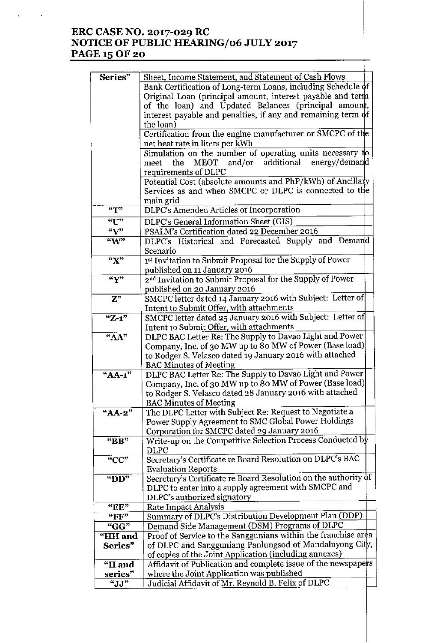# **ERC CASE NO. 2017-029 RC NOTICE OF PUBLIC HEARINGJ06 JULY 2017** PAGE 15 OF 20

l,

| Series"                       | Sheet, Income Statement, and Statement of Cash Flows               |
|-------------------------------|--------------------------------------------------------------------|
|                               | Bank Certification of Long-term Loans, including Schedule of       |
|                               | Original Loan (principal amount, interest payable and term         |
|                               | of the loan) and Updated Balances (principal amount,               |
|                               | interest payable and penalties, if any and remaining term $\phi f$ |
|                               | the loan)                                                          |
|                               | Certification from the engine manufacturer or SMCPC of the         |
|                               | net heat rate in liters per kWh                                    |
|                               | Simulation on the number of operating units necessary to           |
|                               | additional<br>energy/demand<br>MEOT and/or<br>the<br>meet          |
|                               | requirements of DLPC                                               |
|                               | Potential Cost (absolute amounts and PhP/kWh) of Ancillary         |
|                               | Services as and when SMCPC or DLPC is connected to the             |
|                               |                                                                    |
| $\mathbf{H}^{\prime\prime}$   | main grid                                                          |
|                               | DLPC's Amended Articles of Incorporation                           |
| "U"                           | DLPC's General Information Sheet (GIS)                             |
| $\sqrt{v}$                    | PSALM's Certification dated 22 December 2016                       |
| W''                           | DLPC's Historical and Forecasted Supply and Demand                 |
|                               | Scenario                                                           |
| "X"                           | 1st Invitation to Submit Proposal for the Supply of Power          |
|                               | published on 11 January 2016                                       |
| $\sqrt{Y'}$                   | 2nd Invitation to Submit Proposal for the Supply of Power          |
|                               | published on 20 January 2016                                       |
| $\overline{Z^{\prime\prime}}$ | SMCPC letter dated 14 January 2016 with Subject: Letter of         |
|                               | Intent to Submit Offer, with attachments                           |
| $"Z-1"$                       | SMCPC letter dated 25 January 2016 with Subject: Letter of         |
|                               | Intent to Submit Offer, with attachments                           |
| "AA"                          | DLPC BAC Letter Re: The Supply to Davao Light and Power            |
|                               | Company, Inc. of 30 MW up to 80 MW of Power (Base load)            |
|                               | to Rodger S. Velasco dated 19 January 2016 with attached           |
|                               | <b>BAC Minutes of Meeting</b>                                      |
| "AA-1"                        | DLPC BAC Letter Re: The Supply to Davao Light and Power            |
|                               | Company, Inc. of 30 MW up to 80 MW of Power (Base load)            |
|                               | to Rodger S. Velasco dated 28 January 2016 with attached           |
|                               | <b>BAC Minutes of Meeting</b>                                      |
| "AA-2"                        | The DLPC Letter with Subject Re: Request to Negotiate a            |
|                               | Power Supply Agreement to SMC Global Power Holdings                |
|                               | Corporation for SMCPC dated 29 January 2016                        |
| "BB"                          | Write-up on the Competitive Selection Process Conducted by         |
|                               | DLPC                                                               |
| "CC"                          | Secretary's Certificate re Board Resolution on DLPC's BAC          |
|                               | <b>Evaluation Reports</b>                                          |
| " $DD"$                       | Secretary's Certificate re Board Resolution on the authority of    |
|                               | DLPC to enter into a supply agreement with SMCPC and               |
|                               | DLPC's authorized signatory                                        |
| "EE"                          | <b>Rate Impact Analysis</b>                                        |
| "FF"                          | Summary of DLPC's Distribution Development Plan (DDP)              |
| "GG"                          | Demand Side Management (DSM) Programs of DLPC                      |
| "HH and                       | Proof of Service to the Sanggunians within the franchise area      |
| Series"                       | of DLPC and Sangguniang Panlungsod of Mandaluyong City,            |
|                               | of copies of the Joint Application (including annexes)             |
| "II and                       | Affidavit of Publication and complete issue of the newspapers      |
| series"                       | where the Joint Application was published                          |
| "JJ"                          | Judicial Affidavit of Mr. Reynold B. Felix of DLPC                 |
|                               |                                                                    |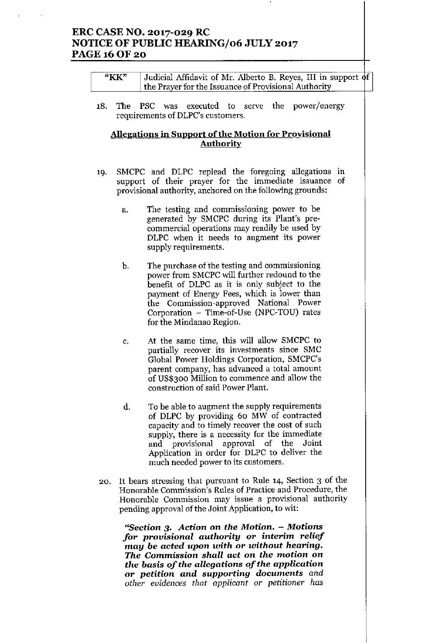# ERC CASE NO. 2017-029 RC NOTICE OF PUBLIC HEARING/06 JULY 2017 PAGE 16 OF 20

| "KK" | Judicial Affidavit of Mr. Alberto B. Reyes, III in support of |  |
|------|---------------------------------------------------------------|--|
|      | the Prayer for the Issuance of Provisional Authority          |  |

18. The PSC was executed to serve the power/energy requirements of DLPC's customers.

#### Allegations in Support of the Motion for Provisional Authority

- 19. SMCPC and DLPC replead the foregoing allegations in support of their prayer for the immediate issuance of provisional authority, anchored on the following grounds:
	- a. The testing and commissioning power to be generated by SMCPC during its Plant's precommercial operations may readily be used by DLPC when it needs to augment its power supply requirements.
	- b. The purchase of the testing and commissioning power from SMCPC will further redound to the benefit of DLPC as it is only subject to the payment of Energy Fees, which is lower than the Commission-approved National Power Corporation - Time-of-Use (NPC-TOU) rates for the Mindanao Region.
	- c. At the same time, this will allow SMCPC to partially recover its investments since SMC Global Power Holdings Corporation, SMCPC's parent company, has advanced a total amount of US\$300 Million to commence and allow the construction of said Power Plant.
	- d. To be able to augment the supply requirements of DLPC by providing 60 MW of contracted capacity and to timely recover the cost of such supply, there is a necessity for the immediate and provisional approval of the Joint Application in order for DLPC to deliver the much needed power to its customers.
- 20. It bears stressing that pursuant to Rule 14, Section 3 of the Honorable Commission's Rules of Practice and Procedure, the Honorable Commission may issue a provisional authority pending approval of the Joint Application, to wit:

"Section 3. *Action* on *the Motion. - Motions for provisional authority or interim relief may* be *acted upon with or without hearing. The* Commission *shall act* on *the motion* on *the basis of the allegations of the application or petition and supporting documents and other evidences that applicant* or *petitioner has*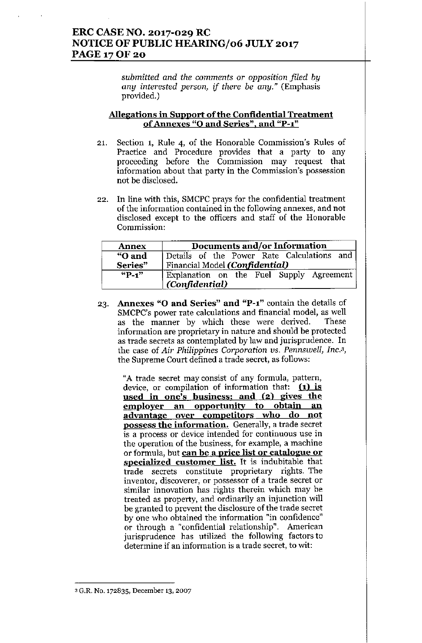# ERC CASE NO. 2017-029 RC NOTICE OF PUBLIC HEARING/06 JULY 2017 PAGE 17 OF 20

*submitted and the comments* or *opposition filed by any interested person, if there be any,"* (Emphasis provided.)

#### Allegations in Support of the Confidential Treatment of Annexes "0 and Series", and "P-1"

- 21. Section 1, Rule 4, of the Honorable Commission's Rules of Practice and Procedure provides that a party to any proceeding before the Commission may request that information about that party in the Commission's possession not be disclosed.
- 22. In line with this, SMCPC prays for the confidential treatment of the information contained in the following annexes, and not disclosed except to the officers and staff of the Honorable Commission:

| <b>Annex</b> | Documents and/or Information               |
|--------------|--------------------------------------------|
| "O and       | Details of the Power Rate Calculations and |
| Series"      | Financial Model (Confidential)             |
| $\sqrt{P-1}$ | Explanation on the Fuel Supply Agreement   |
|              | (Confidential)                             |

23. Annexes "0 and Series" and "P-l" contain the details of SMCPC's power rate calculations and financial model, as well as the manner by which these were derived. These information are proprietary in nature and should be protected as trade secrets as contemplated by law and jurisprudence. In the case of *Air Philippines Corporation vs. PennsweIl, Inc.3,* the Supreme Court defined a trade secret, as follows:

"A trade secret may consist of any formula, pattern, device, or compilation of information that:  $(1)$  is used in one's business; and (2) gives the employer an opportunity to obtain an advantage over competitors who do not possess the information. Generally, a trade secret is a process or device intended for continuous use in the operation of the business, for example, a machine or formula, but can be a price list or catalogue or specialized customer list. It is indubitable that trade secrets constitute proprietary rights. The inventor, discoverer, or possessor of a trade secret or similar innovation has rights therein which may be treated as property, and ordinarily an injunction will be granted to prevent the disclosure of the trade secret by one who obtained the information "in confidence" or through a "confidential relationship". American jurisprudence has utilized the following factors to determine if an information is a trade secret, to wit:

<sup>3</sup>G.R. No. 172835, December 13, 2007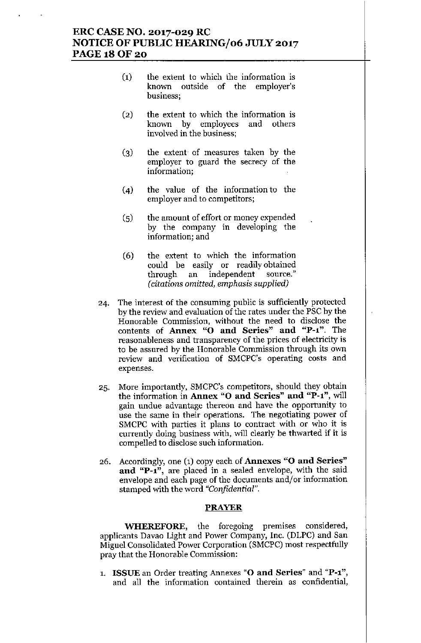## ERC CASE NO. 2017-029 RC NOTICE OF PUBLIC HEARING/06 JULY 2017 PAGE 18 OF 20

- (1) the extent to which the information is known outside of the employer's business;
- (2) the extent to which the information is known by employees and others involved in the business;
- (3) the extent of measnres taken by the employer to guard the secrecy of the information;
- (4) the valne of the information to the employer and to competitors;
- (5) the amount of effort or money expended by the company in developing the information; and
- (6) the extent to which the information could be easily or readily obtained through an independent source." *(citations omitted, emphasis supplied)*
- 24. The interest of the consuming public is sufficiently protected by the review and evaluation of the rates under the PSC by the Honorable Commission, without the need to disclose the contents of Annex "0 and Series" and "P-l". The reasonableness and transparency of the prices of electricity is to be assured by the Honorable Commission through its own review and verification of SMCPC's operating costs and expenses.
- 25. More importantly, SMCPC's competitors, should they obtain the information in Annex "O and Series" and "P-1", will gain undue advantage thereon and have the opportunity to use the same in their operations. The negotiating power of SMCPC with parties it plans to contract with or who it is currently doing business with, will clearly be thwarted if it is compelled to disclose such information.
- 26. Accordingly, one (1) copy each of Annexes "0 and Series" and "P-1", are placed in a sealed envelope, with the said envelope and each page of the documents and/or information stamped witb the word *"Confidential".*

#### PRAYER

WHEREFORE, the foregoing premises considered, applicants Davao Light and Power Company, Inc. (DLPC) and San Miguel Consolidated Power Corporation (SMCPC) most respectfully pray that the Honorable Commission:

1. ISSUE an Order treating Annexes "O and Series" and "P-1", and all the information contained therein as confidential,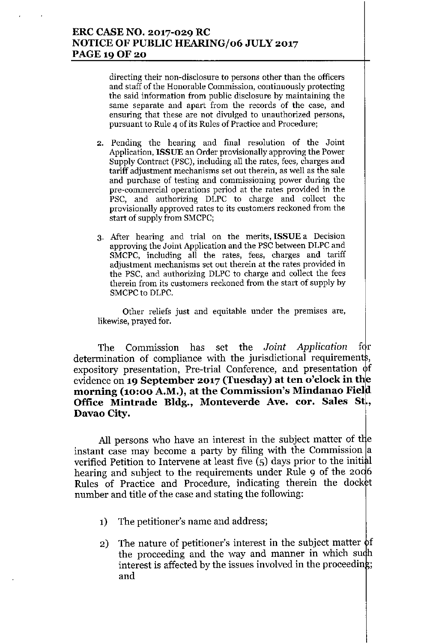# ERC CASE NO. 2017-029 RC NOTICE OF PUBLIC HEARING/06 JULY 2017 PAGE 19 OF 20

directing their non-disclosure to persons other than the officers and staff of the Honorable Commission, continuously protecting the said information from public disclosure by maintaining the same separate and apart from the records of the case, and ensuring that these are not divulged to unauthorized persons, pursuant to Rule 4 of its Rules of Practice and Procedure;

- 2. Pending the hearing and final resolution of the Joint Application, ISSUE an Order provisionally approving the Power Supply Contract (PSC), including all the rates, fees, charges and tariff adjustment mechanisms set out therein, as well as the sale and purchase of testing and commissioning power during the pre-commercial operations period at the rates provided in the PSC, and authorizing DLPC to charge and collect the provisionally approved rates to its customers reckoned from the start of supply from SMCPC;
- 3. Mer hearing and trial on the merits, **ISSUE** a Decision approving the Joint Application and the PSC between DLPC and SMCPC, including all the rates, fees, charges and tariff adjustment mechanisms set out therein at the rates provided in the PSC, and authorizing DLPC to charge and collect the fees therein from its customers reckoned from the start of supply by SMCPC to DLPC.

Other reliefs just and equitable under the premises are, likewise, prayed for.

The Commission has set the *Joint Application* for determination of compliance with the jurisdictional requirements, expository presentation, Pre-trial Conference, and presentation  $\phi$ f evidence on 19 September 2017 (Tuesday) at ten o'clock in the morning (10:00 A.M.), at the Commission's Mindanao Field Office Mintrade Bldg., Monteverde Ave. cor. Sales St, Davao City.

All persons who have an interest in the subject matter of the instant case may become a party by filing with the Commission  $|a|$ verified Petition to Intervene at least five  $(5)$  days prior to the initial hearing and subject to the requirements under Rule 9 of the 2006 Rules of Practice and Procedure, indicating therein the docket number and title of the case and stating the following:

- 1) The petitioner's name and address;
- 2) The nature of petitioner's interest in the subject matter  $\phi f$ the proceeding and the way and manner in which such interest is affected by the issues involved in the proceeding; and